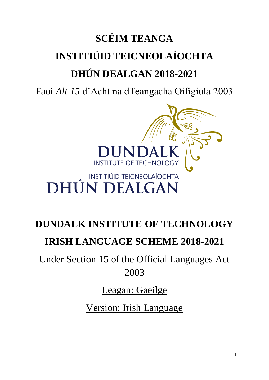# **SCÉIM TEANGA INSTITIÚID TEICNEOLAÍOCHTA DHÚN DEALGAN 2018-2021**

Faoi *Alt 15* d'Acht na dTeangacha Oifigiúla 2003



## **DUNDALK INSTITUTE OF TECHNOLOGY IRISH LANGUAGE SCHEME 2018-2021**

Under Section 15 of the Official Languages Act 2003

Leagan: Gaeilge

Version: Irish Language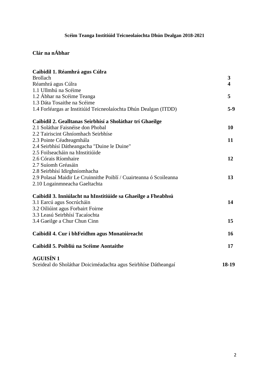## **Scéim Teanga Institiúid Teicneolaíochta Dhún Dealgan 2018-2021**

## **Clár na nÁbhar**

| 3                       |
|-------------------------|
| $\overline{\mathbf{4}}$ |
|                         |
| 5                       |
|                         |
| $5-9$                   |
|                         |
| 10                      |
|                         |
| 11                      |
|                         |
|                         |
| 12                      |
|                         |
|                         |
| 13                      |
|                         |
|                         |
| 14                      |
|                         |
|                         |
| 15                      |
| 16                      |
| 17                      |
|                         |
| 18-19                   |
|                         |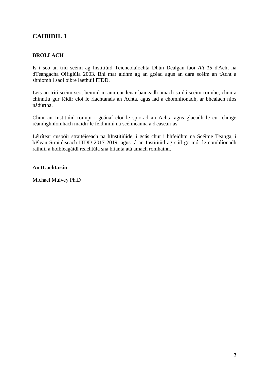## **CAIBIDIL 1**

#### **BROLLACH**

Is í seo an tríú scéim ag Institiúid Teicneolaíochta Dhún Dealgan faoi *Alt 15* d'Acht na dTeangacha Oifigiúla 2003. Bhí mar aidhm ag an gcéad agus an dara scéim an tAcht a shníomh i saol oibre laethúil ITDD.

Leis an tríú scéim seo, beimid in ann cur lenar baineadh amach sa dá scéim roimhe, chun a chinntiú gur féidir cloí le riachtanais an Achta, agus iad a chomhlíonadh, ar bhealach níos nádúrtha.

Chuir an Institiúid roimpi i gcónaí cloí le spiorad an Achta agus glacadh le cur chuige réamhghníomhach maidir le feidhmiú na scéimeanna a d'eascair as.

Léirítear cuspóir straitéiseach na hInstitiúide, i gcás chur i bhfeidhm na Scéime Teanga, i bPlean Straitéiseach ITDD 2017-2019, agus tá an Institiúid ag súil go mór le comhlíonadh rathúil a hoibleagáidí reachtúla sna blianta atá amach romhainn.

#### **An tUachtarán**

Michael Mulvey Ph.D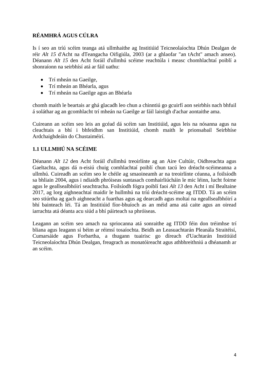## **RÉAMHRÁ AGUS CÚLRA**

Is í seo an tríú scéim teanga atá ullmhaithe ag Institiúid Teicneolaíochta Dhún Dealgan de réir *Alt 15* d'Acht na dTeangacha Oifigiúla, 2003 (ar a ghlaofar "an tAcht" amach anseo). Déanann *Alt 15* den Acht foráil d'ullmhú scéime reachtúla i measc chomhlachtaí poiblí a shonraíonn na seirbhísí atá ar fáil uathu:

- Trí mheán na Gaeilge,
- Trí mheán an Bhéarla, agus
- Trí mheán na Gaeilge agus an Bhéarla

chomh maith le beartais ar ghá glacadh leo chun a chinntiú go gcuirfí aon seirbhís nach bhfuil á soláthar ag an gcomhlacht trí mheán na Gaeilge ar fáil laistigh d'achar aontaithe ama.

Cuireann an scéim seo leis an gcéad dá scéim san Institiúid, agus leis na nósanna agus na cleachtais a bhí i bhfeidhm san Institiúid, chomh maith le prionsabail Seirbhíse Ardchaighdeáin do Chustaiméirí.

#### **1.1 ULLMHÚ NA SCÉIME**

Déanann *Alt 12* den Acht foráil d'ullmhú treoirlínte ag an Aire Cultúir, Oidhreachta agus Gaeltachta, agus dá n-eisiú chuig comhlachtaí poiblí chun tacú leo dréacht-scéimeanna a ullmhú. Cuireadh an scéim seo le chéile ag smaoineamh ar na treoirlínte céanna, a foilsíodh sa bhliain 2004, agus i ndiaidh phróiseas suntasach comhairliúcháin le mic léinn, lucht foirne agus le geallsealbhóirí seachtracha. Foilsíodh fógra poiblí faoi *Alt 13* den Acht i mí Bealtaine 2017, ag lorg aighneachtaí maidir le hullmhú na tríú dréacht-scéime ag ITDD. Tá an scéim seo stiúrtha ag gach aighneacht a fuarthas agus ag dearcadh agus moltaí na ngeallsealbhóirí a bhí bainteach léi. Tá an Institiúid fíor-bhuíoch as an méid ama atá caite agus an oiread iarrachta atá déanta acu siúd a bhí páirteach sa phróiseas.

Leagann an scéim seo amach na spriocanna atá sonraithe ag ITDD féin don tréimhse trí bliana agus leagann sí béim ar réimsí tosaíochta. Beidh an Leasuachtarán Pleanála Straitéisí, Cumarsáide agus Forbartha, a thugann tuairisc go díreach d'Uachtarán Institiúid Teicneolaíochta Dhún Dealgan, freagrach as monatóireacht agus athbhreithniú a dhéanamh ar an scéim.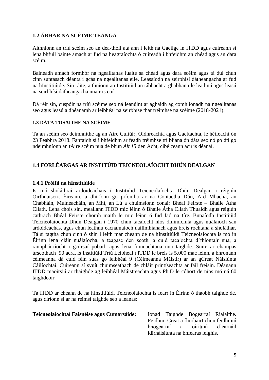#### **1.2 ÁBHAR NA SCÉIME TEANGA**

Aithníonn an tríú scéim seo an dea-thoil atá ann i leith na Gaeilge in ITDD agus cuireann sí lena bhfuil bainte amach ar fud na heagraíochta ó cuireadh i bhfeidhm an chéad agus an dara scéim.

Baineadh amach formhór na ngealltanas luaite sa chéad agus dara scéim agus tá dul chun cinn suntasach déanta i gcás na ngealltanas eile. Leasaíodh na seirbhísí dátheangacha ar fud na hInstitiúide. Sin ráite, aithníonn an Institiúid an tábhacht a ghabhann le leathnú agus leasú na seirbhísí dátheangacha nuair is cuí.

Dá réir sin, cuspóir na tríú scéime seo ná leanúint ar aghaidh ag comhlíonadh na ngealltanas seo agus leasú a dhéanamh ar leibhéal na seirbhíse thar tréimhse na scéime (2018-2021).

#### **1.3 DÁTA TOSAITHE NA SCÉIME**

Tá an scéim seo deimhnithe ag an Aire Cultúir, Oidhreachta agus Gaeltachta, le héifeacht ón 23 Feabhra 2018. Fanfaidh sí i bhfeidhm ar feadh tréimhse trí bliana ón dáta seo nó go dtí go ndeimhníonn an tAire scéim nua de bhun *Alt 15* den Acht, cibé ceann acu is déanaí.

#### **1.4 FORLÉARGAS AR INSTITÚID TEICNEOLAÍOCHT DHÚN DEALGAN**

#### **1.4.1 Próifíl na hInstitiúide**

Is mór-sholáthraí ardoideachais í Institiúid Teicneolaíochta Dhún Dealgan i réigiún Oirthuaiscirt Éireann, a dhíríonn go príomha ar na Contaetha Dún, Ard Mhacha, an Chabháin, Muineacháin, an Mhí, an Lú a chuimsíonn conair Bhéal Feirste – Bhaile Átha Cliath. Lena chois sin, meallann ITDD mic léinn ó Bhaile Átha Cliath Thuaidh agus réigiún cathrach Bhéal Feirste chomh maith le mic léinn ó fud fad na tíre. Bunaíodh Institiúid Teicneolaíochta Dhún Dealgan i 1970 chun tacaíocht níos dinimiciúla agus nuálaíoch san ardoideachas, agus chun leathnú eacnamaíoch uaillmhianach agus breis rochtana a sholáthar. Tá sí tagtha chun cinn ó shin i leith mar cheann de na hInstitiúidí Teicneolaíochta is mó in Éirinn lena cláir nuálaíocha, a teagasc den scoth, a cuid tacaíochta d'fhiontair nua, a rannpháirtíocht i gcúrsaí pobail, agus lena fionnachtana nua taighde. Suite ar champas úrscothach 90 acra, is Institiúid Tríú Leibhéal í ITDD le breis is 5,000 mac léinn, a bhronann céimeanna dá cuid féin suas go leibhéal 9 (Céimeanna Máistir) ar an gCreat Náisiúnta Cáilíochtaí. Cuireann sí svuít chuimseathach de chláir printíseachta ar fáil freisin. Déanann ITDD maoirsiú ar thaighde ag leibhéal Máistreachta agus Ph.D le cóhort de níos mó ná 60 taighdeoir.

Tá ITDD ar cheann de na hInstitiúidí Teicneolaíochta is fearr in Éirinn ó thaobh taighde de, agus díríonn sí ar na réimsí taighde seo a leanas:

#### **Teicneolaíochtaí Faisnéise agus Cumarsáide:** Ionad Taighde Bogearraí Rialaithe.

Feidhm: Creat a fhorbairt chun feidhmiú bhogearraí a oiriúnú d'earnáil idirnáisiúnta na bhfearas leighis.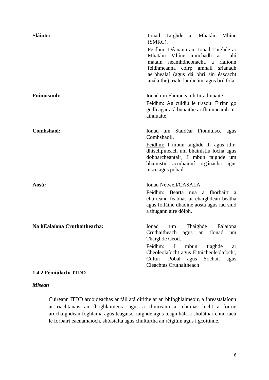| Sláinte:                     | Ionad Taighde ar Mhatáin Mhíne<br>(SMRC).                                                                                                                                                                                                                  |
|------------------------------|------------------------------------------------------------------------------------------------------------------------------------------------------------------------------------------------------------------------------------------------------------|
|                              | Feidhm: Déanann an tIonad Taighde ar<br>Mhatáin Mhíne iniúchadh ar rialú<br>matáin neamhdheonacha a rialíonn<br>feidhmeanna coirp amhail srianadh<br>aerbhealaí (agus dá bhrí sin éascacht<br>análaithe), rialú lamhnáin, agus brú fola.                   |
| <b>Fuinneamh:</b>            | Ionad um Fhuinneamh In-athnuaite.<br>Feidhm: Ag cuidiú le trasdul Éirinn go<br>geilleagar atá bunaithe ar fhuinneamh in-<br>athnuaite.                                                                                                                     |
| <b>Comhshaol:</b>            | Ionad um Staidéar Fionnuisce agus<br>Comhshaoil.                                                                                                                                                                                                           |
|                              | Feidhm: I mbun taighde il- agus idir-<br>dhisclipíneach um bhainistiú locha agus<br>dobharcheantair; I mbun taighde um<br>bhainistiú acmhainní orgánacha agus<br>uisce agus pobail.                                                                        |
| Aosú:                        | Ionad Netwell/CASALA.                                                                                                                                                                                                                                      |
|                              | Feidhm: Bearta nua a fhorbairt a<br>chuireann feabhas ar chaighdeán beatha<br>agus folláine dhaoine aosta agus iad siúd<br>a thugann aire dóibh.                                                                                                           |
| Na hEalaíona Cruthaitheacha: | Ionad<br>Thaighde Ealaíona<br>um<br>Cruthaitheach agus an tIonad um<br>Thaighde Ceoil.<br>mbun<br>Feidhm:<br>$\mathbf{I}$<br>tiaghde<br>ar<br>Cheoleolaíocht agus Eitnicheoleolaíocht,<br>Cultúr, Pobal agus<br>Sochaí,<br>agus<br>Cleachtas Cruthaitheach |
|                              |                                                                                                                                                                                                                                                            |

#### **1.4.2 Féiniúlacht ITDD**

#### *Misean*

Cuireann ITDD ardoideachas ar fáil atá dírithe ar an bhfoghlaimeoir, a fhreastalaíonn ar riachtanais an fhoghlaimeora agus a chuireann ar chumas lucht a foirne ardchaighdeán foghlama agus teagaisc, taighde agus teagmhála a sholáthar chun tacú le forbairt eacnamaíoch, shóisialta agus chultúrtha an réigiúin agus i gcoitinne.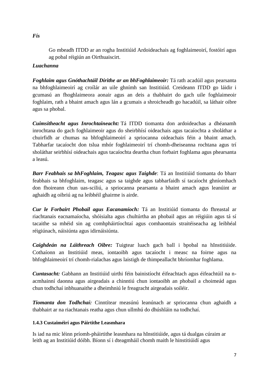Go mbeadh ITDD ar an rogha Institiúid Ardoideachais ag foghlaimeoirí, fostóirí agus ag pobal réigiún an Oirthuaiscirt.

#### *Luachanna*

*Foghlaim agus Gnóthachtáil Dírithe ar an bhFoghlaimeoir:* Tá rath acadúil agus pearsanta na bhfoghlaimeoirí ag croílár an uile ghnímh san Institiúid. Creideann ITDD go láidir i gcumasú an fhoghlaimeora aonair agus an deis a thabhairt do gach uile foghlaimeoir foghlaim, rath a bhaint amach agus lán a gcumais a shroicheadh go hacadúil, sa láthair oibre agus sa phobal.

*Cuimsitheacht agus Inrochtaineacht:* Tá ITDD tiomanta don ardoideachas a dhéanamh inrochtana do gach foghlaimeoir agus do sheirbhísí oideachais agus tacaíochta a sholáthar a chuirfidh ar chumas na bhfoghlaimeoirí a spriocanna oideachais féin a bhaint amach. Tabharfar tacaíocht don tslua mhór foghlaimeoirí trí chomh-dheiseanna rochtana agus trí sholáthar seirbhísí oideachais agus tacaíochta deartha chun forbairt foghlama agus phearsanta a leasú.

*Barr Feabhais sa bhFoghlaim, Teagasc agus Taighde*: Tá an Institiúid tiomanta do bharr feabhais sa bhfoghlaim, teagasc agus sa taighde agus tabharfaidh sí tacaíocht ghníomhach don fhoireann chun uas-sciliú, a spriocanna pearsanta a bhaint amach agus leanúint ar aghaidh ag oibriú ag na leibhéil ghairme is airde.

*Cur le Forbairt Phobail agus Eacanamíoch:* Tá an Institiúid tiomanta do fhreastal ar riachtanais eacnamaíocha, shóisialta agus chultúrtha an phobail agus an réigiúin agus tá sí tacaithe sa mhéid sin ag comhpháirtíochtaí agus comhaontais straitéiseacha ag leibhéal réigiúnach, náisiúnta agus idirnáisiúnta.

*Caighdeán na Láithreach Oibre:* Tuigtear luach gach ball i bpobal na hInstitiúide. Cothaíonn an Institiúid meas, iontaoibh agus tacaíocht i measc na foirne agus na bhfoghlaimeoirí trí chomh-rialachas agus laistigh de thimpeallacht bhríomhar foghlama.

*Cuntasacht:* Gabhann an Institiúid uirthi féin bainistíocht éifeachtach agus éifeachtúil na nacmhainní daonna agus airgeadais a chinntiú chun iontaoibh an phobail a choimeád agus chun todhchaí inbhuanaithe a dheimhniú le freagracht airgeadais soiléir.

*Tiomanta don Todhchaí:* Cinntítear measúnú leanúnach ar spriocanna chun aghaidh a thabhairt ar na riachtanais reatha agus chun ullmhú do dhúshláin na todhchaí.

#### **1.4.3 Custaiméirí agus Páirtithe Leasmhara**

Is iad na mic léinn príomh-pháirtithe leasmhara na hInstitiúide, agus tá dualgas cúraim ar leith ag an Institiúid dóibh. Bíonn sí i dteagmháil chomh maith le hinstitiúidí agus

*Fís*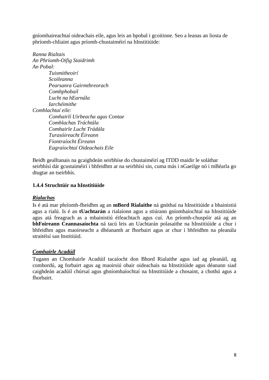gníomhaireachtaí oideachais eile, agus leis an bpobal i gcoitinne. Seo a leanas an liosta de phríomh-chliaint agus príomh-chustaiméirí na hInstitiúide:

*Ranna Rialtais An Phríomh-Oifig Staidrimh An Pobal: Tuismitheoirí Scoileanna Pearsanra Gairmthreorach Comhphobail Lucht na hEarnála Iarchéimithe Comhlachtaí eile: Comhairlí Uirbeacha agus Contae Comhlachas Tráchtála Comhairle Lucht Trádála Turasóireacht Éireann Fiontraíocht Éireann Eagraíochtaí Oideachais Eile*

Beidh gealltanais na gcaighdeán seirbhíse do chustaiméirí ag ITDD maidir le soláthar seirbhísí dár gcustaiméirí i bhfeidhm ar na seirbhísí sin, cuma más i nGaeilge nó i mBéarla go dtugtar an tseirbhís.

#### **1.4.4 Struchtúir na hInstitiúide**

#### *Rialachas*

Is é atá mar phríomh-fheidhm ag an **mBord Rialaithe** ná gnóthaí na hInstitiúide a bhainistiú agus a rialú. Is é an **tUachtarán** a rialaíonn agus a stiúrann gníomhaíochtaí na hInstitiúide agus atá freagrach as a mbainistiú éifeachtach agus cuí. An príomh-chuspóir atá ag an **bhFoireann Ceannasaíochta** ná tacú leis an Uachtarán polasaithe na hInstitiúide a chur i bhfeidhm agus maoirseacht a dhéanamh ar fhorbairt agus ar chur i bhfeidhm na pleanála straitéisí san Institiúid.

#### *Comhairle Acadúil*

Tugann an Chomhairle Acadúil tacaíocht don Bhord Rialaithe agus iad ag pleanáil, ag comhordú, ag forbairt agus ag maoirsiú obair oideachais na hInstitiúide agus déanann siad caighdeán acadúil chúrsaí agus ghníomhaíochtaí na hInstitiúide a chosaint, a chothú agus a fhorbairt.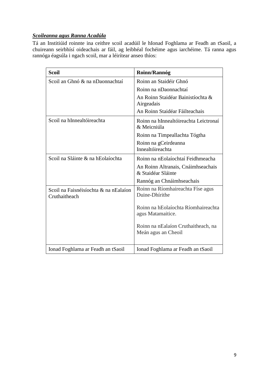#### *Scoileanna agus Ranna Acadúla*

Tá an Institiúid roinnte ina ceithre scoil acadúil le hIonad Foghlama ar Feadh an tSaoil, a chuireann seirbhísí oideachais ar fáil, ag leibhéal fochéime agus iarchéime. Tá ranna agus rannóga éagsúla i ngach scoil, mar a léirítear anseo thíos:

| <b>Scoil</b>                                           | Roinn/Rannóg                                               |
|--------------------------------------------------------|------------------------------------------------------------|
| Scoil an Ghnó & na nDaonnachtaí                        | Roinn an Staidéir Ghnó                                     |
|                                                        | Roinn na nDaonnachtaí                                      |
|                                                        | An Roinn Staidéar Bainistíochta &<br>Airgeadais            |
|                                                        | An Roinn Staidéar Fáilteachais                             |
| Scoil na hInnealtóireachta                             | Roinn na hInnealtóireachta Leictronaí<br>& Meicniúla       |
|                                                        | Roinn na Timpeallachta Tógtha                              |
|                                                        | Roinn na gCeirdeanna<br>Innealtóireachta                   |
| Scoil na Sláinte & na hEolaíochta                      | Roinn na nEolaíochtaí Feidhmeacha                          |
|                                                        | An Roinn Altranais, Cnáimhseachais<br>& Staidéar Sláinte   |
|                                                        | Rannóg an Chnáimhseachais                                  |
| Scoil na Faisnéisíochta & na nEalaíon<br>Cruthaitheach | Roinn na Ríomhaireachta Físe agus<br>Duine-Dhírithe        |
|                                                        | Roinn na hEolaíochta Ríomhaireachta<br>agus Matamaitice.   |
|                                                        | Roinn na nEalaíon Cruthaitheach, na<br>Meán agus an Cheoil |
| Ionad Foghlama ar Feadh an tSaoil                      | Ionad Foghlama ar Feadh an tSaoil                          |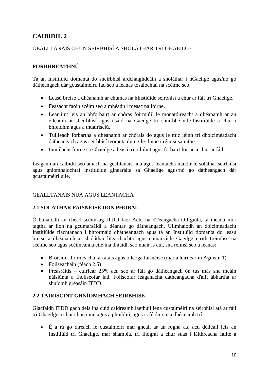## **CAIBIDIL 2**

## GEALLTANAIS CHUN SEIRBHÍSÍ A SHOLÁTHAR TRÍ GHAEILGE

#### **FORBHREATHNÚ**

Tá an Institiúid tiomanta do sheirbhísí ardchaighdeáin a sholáthar i nGaeilge agus/nó go dátheangach dár gcustaiméirí. Iad seo a leanas tosaíochtaí na scéime seo:

- Leasú breise a dhéanamh ar chumas na hInstiúide seirbhísí a chur ar fáil trí Ghaeilge.
- Feasacht faoin scéim seo a mhéadú i measc na foirne.
- Leanúint leis an bhforbairt ar chóras foirmiúil le monatóireacht a dhéanamh ar an éileamh ar sheirbhísí agus úsáid na Gaeilge trí shuirbhé uile-Institiúíde a chur i bhfeidhm agus a thuairisciú.
- Tuilleadh forbartha a dhéanamh ar chórais do agus le mic léinn trí dhoiciméadacht dátheangach agus seirbhísí teoranta duine-le-duine i réimsí sainithe.
- Inniúlacht foirne sa Ghaeilge a leasú trí oiliúint agus forbairt foirne a chur ar fáil.

Leagann an caibidil seo amach na gealltanais nua agus leantacha maidir le soláthar seirbhísí agus gníomhaíochtaí institiúide ginearálta sa Ghaeilge agus/nó go dátheangach dár gcustaiméirí uile.

#### GEALLTANAIS NUA AGUS LEANTACHA

#### **2.1 SOLÁTHAR FAISNÉISE DON PHOBAL**

Ó bunaíodh an chéad scéim ag ITDD faoi Acht na dTeangacha Oifigiúla, tá méadú mór tagtha ar líon na gcumarsáidí a déantar go dátheangach. Ullmhaíodh an doiciméadacht Institiúide riachtanach i bhformáid dhátheangach agus tá an Institiúid tiomanta do leasú breise a dhéanamh ar sholáthar litearthachta agus cumarsáide Gaeilge i rith tréimhse na scéime seo agus scéimeanna eile ina dhiaidh seo nuair is cuí, sna réimsí seo a leanas:

- Bróisiúir, foirmeacha iarratais agus bileoga faisnéise (mar a léirítear in Aguisín 1)
- Foilseacháin (féach 2.5)
- Preasráitis cuirfear 25% acu seo ar fáil go dátheangach ón tús más sna meáin náisiúnta a fhoilseofar iad. Foilseofar leaganacha dátheangacha d'ailt ábhartha ar shuíomh gréasáin ITDD.

## **2.2 TAIRISCINT GHNÍOMHACH SEIRBHÍSE**

Glacfaidh ITDD gach deis ina cuid caidreamh laethúil lena custaiméirí na seirbhísí atá ar fáil trí Ghaeilge a chur chun cinn agus a phoibliú, agus is féidir sin a dhéanamh trí:

 É a rá go díreach le custaiméirí mar gheall ar an rogha atá acu déileáil leis an Institiúid trí Ghaeilge, mar shampla, trí fhógraí a chur suas i láithreacha fáilte a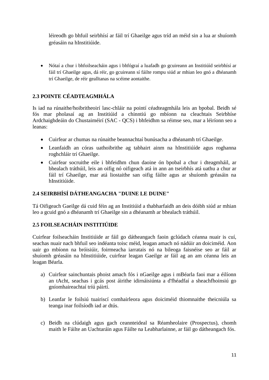léireodh go bhfuil seirbhísí ar fáil trí Ghaeilge agus tríd an méid sin a lua ar shuíomh gréasáin na hInstitiúide.

 Nótaí a chur i bhfoilseacháin agus i bhfógraí a luafadh go gcuireann an Institiúíd seirbhísí ar fáil trí Ghaeilge agus, dá réir, go gcuireann sí fáilte rompu siúd ar mhian leo gnó a dhéanamh trí Ghaeilge, de réir gealltanas na scéime aontaithe.

## **2.3 POINTE CÉADTEAGMHÁLA**

Is iad na rúnaithe/hoibritheoirí lasc-chláir na pointí céadteagmhála leis an bpobal. Beidh sé fós mar pholasaí ag an Institiúid a chinntiú go mbíonn na cleachtais Seirbhíse Ardchaighdeáin do Chustaiméirí (SAC - QCS) i bhfeidhm sa réimse seo, mar a léiríonn seo a leanas:

- Cuirfear ar chumas na rúnaithe beannachtaí bunúsacha a dhéanamh trí Ghaeilge.
- Leanfaidh an córas uathoibrithe ag tabhairt ainm na hInstitiúíde agus roghanna roghchláir trí Ghaeilge.
- Cuirfear socruithe eile i bhfeidhm chun daoine ón bpobal a chur i dteagmháil, ar bhealach tráthúil, leis an oifig nó oifigeach atá in ann an tseirbhís atá uathu a chur ar fáil trí Ghaeilge, mar atá liostaithe san oifig fáilte agus ar shuíomh gréasáin na hInstitiúide.

#### **2.4 SEIRBHÍSÍ DÁTHEANGACHA "DUINE LE DUINE"**

Tá Oifigeach Gaeilge dá cuid féin ag an Institiúid a thabharfaidh an deis dóibh siúd ar mhian leo a gcuid gnó a dhéanamh trí Ghaeilge sin a dhéanamh ar bhealach tráthúil.

#### **2.5 FOILSEACHÁIN INSTITIÚIDE**

Cuirfear foilseacháin Institiúide ar fáil go dátheangach faoin gclúdach céanna nuair is cuí, seachas nuair nach bhfuil seo indéanta toisc méid, leagan amach nó nádúir an doiciméid. Aon uair go mbíonn na bróisiúir, foirmeacha iarratais nó na bileoga faisnéise seo ar fáil ar shuíomh gréasáin na hInstitiúide, cuirfear leagan Gaeilge ar fáil ag an am céanna leis an leagan Béarla.

- a) Cuirfear sainchuntais phoist amach fós i nGaeilge agus i mBéarla faoi mar a éilíonn an tAcht, seachas i gcás post áirithe idirnáisiúnta a d'fhéadfaí a sheachfhoinsiú go gníomhaireachtaí tríú páirtí.
- b) Leanfar le foilsiú tuairiscí comhairleora agus doiciméid thiomnaithe theicniúla sa teanga inar foilsíodh iad ar dtús.
- c) Beidh na clúdaigh agus gach ceannteideal sa Réamheolaire (Prospectus), chomh maith le Fáilte an Uachtaráin agus Fáilte na Leabharlainne, ar fáil go dátheangach fós.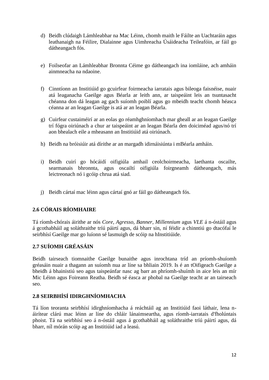- d) Beidh clúdaigh Lámhleabhar na Mac Léinn, chomh maith le Fáilte an Uachtaráin agus leathanaigh na Féilire, Dialainne agus Uimhreacha Úsáideacha Teileafóin, ar fáil go dátheangach fós.
- e) Foilseofar an Lámhleabhar Bronnta Céime go dátheangach ina iomláine, ach amháin ainmneacha na ndaoine.
- f) Cinntíonn an Institiúid go gcuirfear foirmeacha iarratais agus bileoga faisnéise, nuair atá leaganacha Gaeilge agus Béarla ar leith ann, ar taispeáint leis an tsuntasacht chéanna don dá leagan ag gach suíomh poiblí agus go mbeidh teacht chomh héasca céanna ar an leagan Gaeilge is atá ar an leagan Béarla.
- g) Cuirfear custaiméirí ar an eolas go réamhghníomhach mar gheall ar an leagan Gaeilge trí fógra oiriúnach a chur ar taispeáint ar an leagan Béarla den doiciméad agus/nó trí aon bhealach eile a mheasann an Institiúid atá oiriúnach.
- h) Beidh na bróisiúir atá dírithe ar an margadh idirnáisiúnta i mBéarla amháin.
- i) Beidh cuirí go hócáidí oifigiúla amhail ceolchoirmeacha, laethanta oscailte, searmanais bhronnta, agus oscailtí oifigiúla foirgneamh dátheangach, más leictreonach nó i gcóip chrua atá siad.
- j) Beidh cártaí mac léinn agus cártaí gnó ar fáil go dátheangach fós.

#### **2.6 CÓRAIS RÍOMHAIRE**

Tá ríomh-chórais áirithe ar nós *Core, Agresso, Banner, Millennium* agus *VLE* á n-óstáil agus á gcothabháil ag soláthraithe tríú páirtí agus, dá bharr sin, ní féidir a chinntiú go dtacófaí le seirbhísí Gaeilge mar go luíonn sé lasmuigh de scóip na hInstitiúide.

#### **2.7 SUÍOMH GRÉASÁIN**

Beidh tairseach tiomnaithe Gaeilge bunaithe agus inrochtana tríd an príomh-shuíomh gréasáin nuair a thagann an suíomh nua ar líne sa bhliain 2019. Is é an tOifigeach Gaeilge a bheidh á bhainistiú seo agus taispeánfar nasc ag barr an phríomh-shuímh in aice leis an mír Mic Léinn agus Foireann Reatha. Beidh sé éasca ar phobal na Gaeilge teacht ar an tairseach seo.

#### **2.8 SEIRBHÍSÍ IDIRGHNÍOMHACHA**

Tá líon teoranta seirbhísí idirghníomhacha á reáchtáil ag an Institiúid faoi láthair, lena náirítear clárú mac léinn ar líne do chláir lánaimseartha, agus ríomh-iarratais d'fholúntais phoist. Tá na seirbhísí seo á n-óstáil agus á gcothabháil ag soláthraithe tríú páirtí agus, dá bharr, níl mórán scóip ag an Institiúid iad a leasú.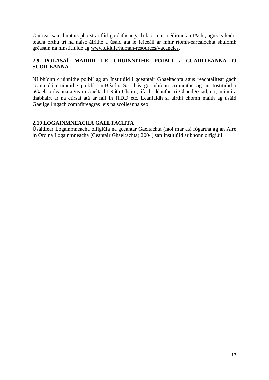Cuirtear sainchuntais phoist ar fáil go dátheangach faoi mar a éilíonn an tAcht, agus is féidir teacht orthu trí na naisc áirithe a úsáid atá le feiceáil ar mhír ríomh-earcaíochta shuíomh gréasáin na hInstitiúide ag [www.dkit.ie/human-resources/vacancies.](http://www.dkit.ie/human-resources/vacancies)

#### **2.9 POLASAÍ MAIDIR LE CRUINNITHE POIBLÍ / CUAIRTEANNA Ó SCOILEANNA**

Ní bhíonn cruinnithe poiblí ag an Institiúid i gceantair Ghaeltachta agus reáchtáiltear gach ceann dá cruinnithe poiblí i mBéarla. Sa chás go mbíonn cruinnithe ag an Institiúid i nGaelscoileanna agus i nGaeltacht Ráth Chairn, áfach, déanfar trí Ghaeilge iad, e.g. míniú a thabhairt ar na cúrsaí atá ar fáil in ITDD etc. Leanfaidh sí uirthi chomh maith ag úsáid Gaeilge i ngach comhfhreagras leis na scoileanna seo.

#### **2.10 LOGAINMNEACHA GAELTACHTA**

Úsáidfear Logainmneacha oifigiúla na gceantar Gaeltachta (faoi mar atá fógartha ag an Aire in Ord na Logainmneacha (Ceantair Ghaeltachta) 2004) san Institiúid ar bhonn oifigiúil.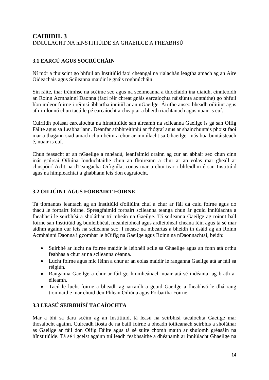#### **CAIBIDIL 3**  INNIÚLACHT NA hINSTITIÚIDE SA GHAEILGE A FHEABHSÚ

## **3.1 EARCÚ AGUS SOCRÚCHÁIN**

Ní mór a thuiscint go bhfuil an Institiúid faoi cheangal na rialachán leagtha amach ag an Aire Oideachais agus Scileanna maidir le gnáis roghnúcháin.

Sin ráite, thar tréimhse na scéime seo agus na scéimeanna a thiocfaidh ina diaidh, cinnteoidh an Roinn Acmhainní Daonna (faoi réir chreat gnáis earcaíochta náisiúnta aontaithe) go bhfuil líon imleor foirne i réimsí ábhartha inniúil ar an nGaeilge. Áirithe anseo bheadh oiliúint agus ath-imlonnú chun tacú le pé earcaíocht a cheaptar a bheith riachtanach agus nuair is cuí.

Cuirfidh polasaí earcaíochta na hInstitiúide san áireamh na scileanna Gaeilge is gá san Oifig Fáilte agus sa Leabharlann. Déanfar athbhreithniú ar fhógraí agus ar shainchuntais phoist faoi mar a thagann siad amach chun béim a chur ar inniúlacht sa Ghaeilge, más bua buntáisteach é, nuair is cuí.

Chun feasacht ar an nGaeilge a mhéadú, leanfaimid orainn ag cur an ábhair seo chun cinn inár gcúrsaí Oiliúna Ionduchtaithe chun an fhoireann a chur ar an eolas mar gheall ar chuspóirí Acht na dTeangacha Oifigiúla, conas mar a chuirtear i bhfeidhm é san Institiúid agus na himpleachtaí a ghabhann leis don eagraíocht.

#### **3.2 OILIÚINT AGUS FORBAIRT FOIRNE**

Tá tiomantas leantach ag an Institiúid d'oiliúint chuí a chur ar fáil dá cuid foirne agus do thacú le forbairt foirne. Spreagfaimid forbairt scileanna teanga chun ár gcuid inniúlachta a fheabhsú le seirbhísí a sholáthar trí mheán na Gaeilge. Tá scileanna Gaeilge ag roinnt ball foirne san Institiúid ag bunleibhéal, meánleibhéal agus ardleibhéal cheana féin agus tá sé mar aidhm againn cur leis na scileanna seo. I measc na mbeartas a bheidh in úsáid ag an Roinn Acmhainní Daonna i gcomhar le hOifig na Gaeilge agus Roinn na nDaonnachtaí, beidh:

- Suirbhé ar lucht na foirne maidir le leibhéil scile sa Ghaeilge agus an fonn atá orthu feabhas a chur ar na scileanna céanna.
- Lucht foirne agus mic léinn a chur ar an eolas maidir le ranganna Gaeilge atá ar fáil sa réigiún.
- Ranganna Gaeilge a chur ar fáil go hinmheánach nuair atá sé indéanta, ag brath ar éileamh.
- Tacú le lucht foirne a bheadh ag iarraidh a gcuid Gaeilge a fheabhsú le dhá rang tiomnaithe mar chuid den Phlean Oiliúna agus Forbartha Foirne.

## **3.3 LEASÚ SEIRBHÍSÍ TACAÍOCHTA**

Mar a bhí sa dara scéim ag an Institiúid, tá leasú na seirbhísí tacaíochta Gaeilge mar thosaíocht againn. Cuireadh liosta de na baill foirne a bheadh toilteanach seirbhís a sholáthar as Gaeilge ar fáil don Oifig Fáilte agus tá sé suite chomh maith ar shuíomh gréasáin na hInstitiúide. Tá sé i gceist againn tuilleadh feabhsaithe a dhéanamh ar inniúlacht Ghaeilge na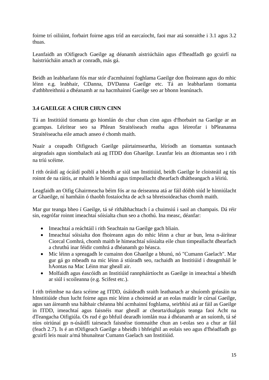foirne trí oiliúint, forbairt foirne agus tríd an earcaíocht, faoi mar atá sonraithe i 3.1 agus 3.2 thuas.

Leanfaidh an tOifigeach Gaeilge ag déanamh aistriúcháin agus d'fheadfadh go gcuirfí na haistriúcháin amach ar conradh, más gá.

Beidh an leabharlann fós mar stór d'acmhainní foghlama Gaeilge don fhoireann agus do mhic léinn e.g. leabhair, CDanna, DVDanna Gaeilge etc. Tá an leabharlann tiomanta d'athbhreithniú a dhéanamh ar na hacmhainní Gaeilge seo ar bhonn leanúnach.

#### **3.4 GAEILGE A CHUR CHUN CINN**

Tá an Institiúid tiomanta go hiomlán do chur chun cinn agus d'fhorbairt na Gaeilge ar an gcampas. Léirítear seo sa Phlean Straitéiseach reatha agus léireofar i bPleananna Straitéiseacha eile amach anseo é chomh maith.

Nuair a ceapadh Oifigeach Gaeilge páirtaimseartha, léiríodh an tiomantas suntasach airgeadais agus siombalach atá ag ITDD don Ghaeilge. Leanfar leis an dtiomantas seo i rith na tríú scéime.

I rith óráidí ag ócáidí poiblí a bheidh ar siúl san Institiúid, beidh Gaeilge le cloisteáil ag tús roinnt de na ráitis, ar mhaith le híomhá agus timpeallacht dhearfach dhátheangach a léiriú.

Leagfaidh an Oifig Ghairmeacha béim fós ar na deiseanna atá ar fáil dóibh siúd le hinniúlacht ar Ghaeilge, ní hamháin ó thaobh fostaíochta de ach sa bhreisoideachas chomh maith.

Mar gur teanga bheo í Gaeilge, tá sé ríthábhachtach í a chuimsiú i saol an champais. Dá réir sin, eagrófar roinnt imeachtaí sóisialta chun seo a chothú. Ina measc, déanfar:

- Imeachtaí a reáchtáil i rith Seachtain na Gaeilge gach bliain.
- Imeachtaí sóisialta don fhoireann agus do mhic léinn a chur ar bun, lena n-áirítear Ciorcal Comhrá, chomh maith le himeachtaí sóisialta eile chun timpeallacht dhearfach a chruthú inar féidir comhrá a dhéanamh go héasca.
- Mic léinn a spreagadh le cumainn don Ghaeilge a bhunú, nó "Cumann Gaelach". Mar gur gá go mbeadh na mic léinn á stiúradh seo, rachaidh an Institiúid i dteagmháil le hAontas na Mac Léinn mar gheall air.
- Molfaidh agus éascóidh an Institiúid rannpháirtíocht as Gaeilge in imeachtaí a bheidh ar siúl i scoileanna (e.g. Scifest etc.).

I rith tréimhse na dara scéime ag ITDD, úsáideadh sraith leathanach ar shuíomh gréasáin na hInstitiúide chun lucht foirne agus mic léinn a choimeád ar an eolas maidir le cúrsaí Gaeilge, agus san áireamh sna hábhair chéanna bhí acmhainní foghlama, seirbhísí atá ar fáil as Gaeilge in ITDD, imeachtaí agus faisnéis mar gheall ar chearta/dualgais teanga faoi Acht na dTeangacha Oifigiúla. Os rud é go bhfuil dearadh iomlán nua á dhéanamh ar an suíomh, tá sé níos oiriúnaí go n-úsáidfí tairseach faisnéise tiomnaithe chun an t-eolas seo a chur ar fáil (feach 2.7). Is é an tOifigeach Gaeilge a bheidh i bhfeighil an eolais seo agus d'fhéadfadh go gcuirfí leis nuair a/má bhunaítear Cumann Gaelach san Institiúid.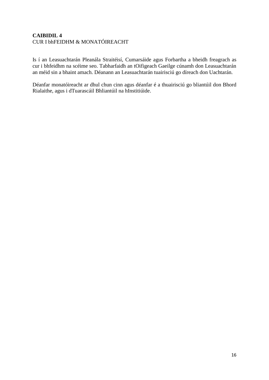#### **CAIBIDIL 4**  CUR I bhFEIDHM & MONATÓIREACHT

Is í an Leasuachtarán Pleanála Straitéisí, Cumarsáide agus Forbartha a bheidh freagrach as cur i bhfeidhm na scéime seo. Tabharfaidh an tOifigeach Gaeilge cúnamh don Leasuachtarán an méid sin a bhaint amach. Déanann an Leasuachtarán tuairisciú go díreach don Uachtarán.

Déanfar monatóireacht ar dhul chun cinn agus déanfar é a thuairisciú go bliantúil don Bhord Rialaithe, agus i dTuarascáil Bhliantúil na hInstitiúide.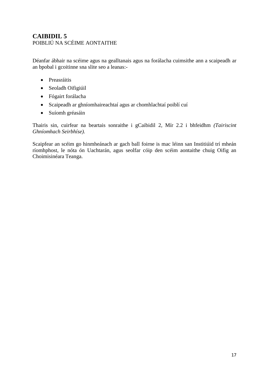#### **CAIBIDIL 5**  POIBLIÚ NA SCÉIME AONTAITHE

Déanfar ábhair na scéime agus na gealltanais agus na forálacha cuimsithe ann a scaipeadh ar an bpobal i gcoitinne sna slite seo a leanas:-

- Preasráitis
- Seoladh Oifigiúil
- Fógairt forálacha
- Scaipeadh ar ghníomhaireachtaí agus ar chomhlachtaí poiblí cuí
- Suíomh gréasáin

Thairis sin, cuirfear na beartais sonraithe i gCaibidil 2, Mír 2.2 i bhfeidhm *(Tairiscint Ghníomhach Seirbhíse).* 

Scaipfear an scéim go hinmheánach ar gach ball foirne is mac léinn san Institiúid trí mheán ríomhphost, le nóta ón Uachtarán, agus seolfar cóip den scéim aontaithe chuig Oifig an Choimisinéara Teanga.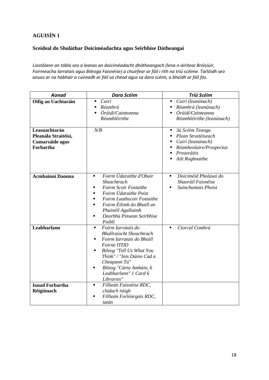## **AGUISÍN 1**

#### **Sceideal do Sholáthar Doiciméadachta agus Seirbhíse Dátheangaí**

*Liostálann an tábla seo a leanas an doiciméadacht dhátheangach (lena n-áirítear Bróisiúir, Foirmeacha Iarratais agus Bileoga Faisnéise) a chuirfear ar fáil i rith na tríú scéime. Tarlóidh seo anuas ar na hábhair a cuireadh ar fáil sa chéad agus sa dara scéim, a bheidh ar fáil fós.* 

| Aonad                                                                 | <b>Dara Scéim</b>                                                                                                                                                                                                                                                                                                            | Tríú Scéim                                                                                                                                                          |
|-----------------------------------------------------------------------|------------------------------------------------------------------------------------------------------------------------------------------------------------------------------------------------------------------------------------------------------------------------------------------------------------------------------|---------------------------------------------------------------------------------------------------------------------------------------------------------------------|
| Oifig an Uachtaráin                                                   | Cuirí<br>$\blacksquare$<br>Réamhrá<br>٠<br>Óráidí/Cainteanna<br>$\blacksquare$<br>Réamhléirithe                                                                                                                                                                                                                              | Cuirí (leanúnach)<br>$\blacksquare$<br>Réamhrá (leanúnach)<br>٠<br>Óráidí/Cainteanna<br>$\blacksquare$<br>Réamhléirithe (leanúnach)                                 |
| Leasuachtarán<br>Pleanála Straitéisí,<br>Cumarsáide agus<br>Forbartha | N/B                                                                                                                                                                                                                                                                                                                          | 3ú Scéim Teanga<br>٠<br>Plean Straitéiseach<br>٠<br>Cuirí (leanúnach)<br>٠<br>Réamheolaire/Prospectus<br>٠<br>Preasráitis<br>$\blacksquare$<br>Ailt Roghnaithe<br>٠ |
| <b>Acmhainní Daonna</b>                                               | Foirm Údaraithe d'Obair<br>$\blacksquare$<br>Sheachtrach<br>Foirm Scoir Fostaithe<br>$\blacksquare$<br>Foirm Údaraithe Poist<br>$\blacksquare$<br>Foirm Luathscoir Fostaithe<br>$\blacksquare$<br>Foirm Éilimh do Bhaill an<br>$\blacksquare$<br>Phainéil Agallaimh<br>Dearbhú Pinsean Seirbhíse<br>$\blacksquare$<br>Poiblí | Doiciméid Pholasaí do<br>$\blacksquare$<br>Shaoráil Faisnéise<br>Sainchuntais Phoist<br>$\blacksquare$                                                              |
| Leabharlann                                                           | Foirm Iarratais do<br>$\blacksquare$<br><b>Bhallraíocht Sheachtrach</b><br>Foirm Iarratais do Bhaill<br>٠<br>Foirne ITDD<br>Bileog "Tell Us What You<br>٠<br>Think" / "Inis Dúinn Cad a<br>Cheapann Tú"<br>Bileog "Cárta Amháin, 6<br>$\blacksquare$<br>Leabharlann" 1 Card 6<br>Libraries"                                  | Ciorcal Comhrá<br>$\blacksquare$                                                                                                                                    |
| <b>Ionad Forbartha</b><br>Réigiúnach                                  | Fillteán Faisnéise RDC,<br>٠<br>clúdach istigh<br>Fillteán Forléargais RDC,<br>$\blacksquare$<br>iatán                                                                                                                                                                                                                       |                                                                                                                                                                     |